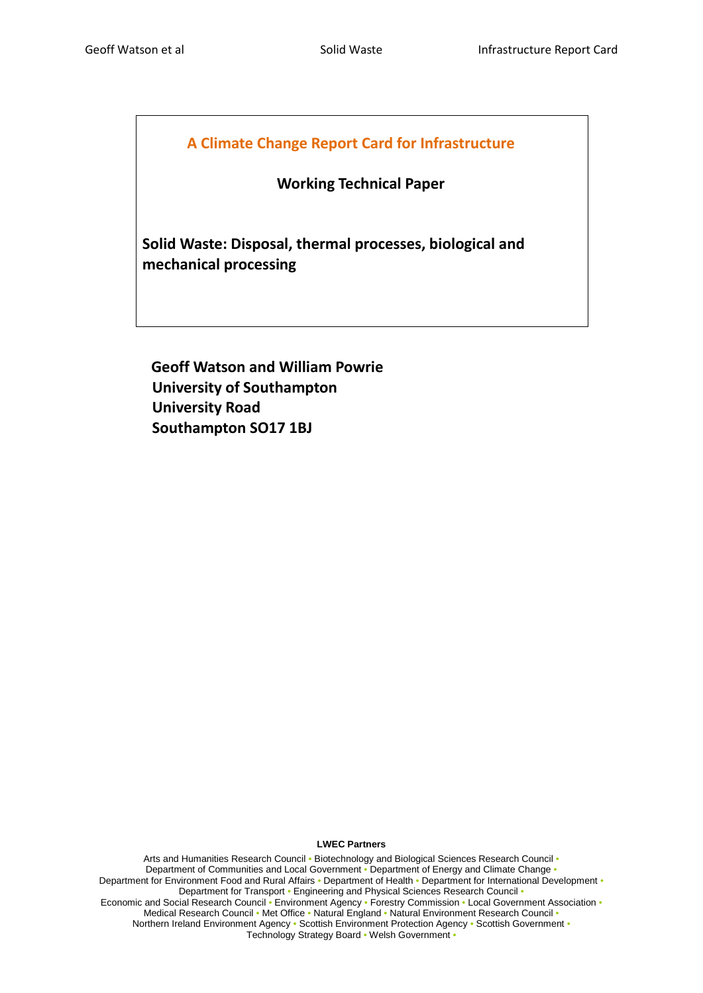# **A Climate Change Report Card for Infrastructure**

# **Working Technical Paper**

**Solid Waste: Disposal, thermal processes, biological and mechanical processing**

 **Geoff Watson and William Powrie University of Southampton University Road Southampton SO17 1BJ**

#### <span id="page-0-0"></span>**LWEC Partners**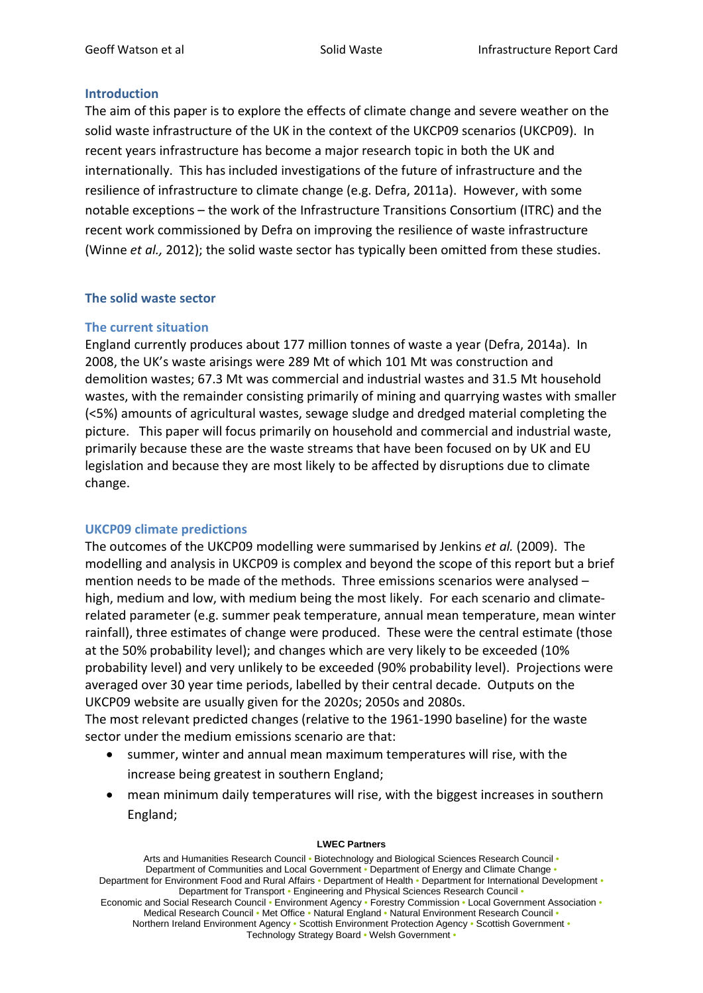### **Introduction**

The aim of this paper is to explore the effects of climate change and severe weather on the solid waste infrastructure of the UK in the context of the UKCP09 scenarios (UKCP09). In recent years infrastructure has become a major research topic in both the UK and internationally. This has included investigations of the future of infrastructure and the resilience of infrastructure to climate change (e.g. Defra, 2011a). However, with some notable exceptions – the work of the Infrastructure Transitions Consortium (ITRC) and the recent work commissioned by Defra on improving the resilience of waste infrastructure (Winne *et al.,* 2012); the solid waste sector has typically been omitted from these studies.

# **The solid waste sector**

### **The current situation**

England currently produces about 177 million tonnes of waste a year (Defra, 2014a). In 2008, the UK's waste arisings were 289 Mt of which 101 Mt was construction and demolition wastes; 67.3 Mt was commercial and industrial wastes and 31.5 Mt household wastes, with the remainder consisting primarily of mining and quarrying wastes with smaller (<5%) amounts of agricultural wastes, sewage sludge and dredged material completing the picture. This paper will focus primarily on household and commercial and industrial waste, primarily because these are the waste streams that have been focused on by UK and EU legislation and because they are most likely to be affected by disruptions due to climate change.

### **UKCP09 climate predictions**

The outcomes of the UKCP09 modelling were summarised by Jenkins *et al.* (2009). The modelling and analysis in UKCP09 is complex and beyond the scope of this report but a brief mention needs to be made of the methods. Three emissions scenarios were analysed – high, medium and low, with medium being the most likely. For each scenario and climaterelated parameter (e.g. summer peak temperature, annual mean temperature, mean winter rainfall), three estimates of change were produced. These were the central estimate (those at the 50% probability level); and changes which are very likely to be exceeded (10% probability level) and very unlikely to be exceeded (90% probability level). Projections were averaged over 30 year time periods, labelled by their central decade. Outputs on the UKCP09 website are usually given for the 2020s; 2050s and 2080s.

The most relevant predicted changes (relative to the 1961-1990 baseline) for the waste sector under the medium emissions scenario are that:

- summer, winter and annual mean maximum temperatures will rise, with the increase being greatest in southern England;
- mean minimum daily temperatures will rise, with the biggest increases in southern England;

#### **LWEC Partners**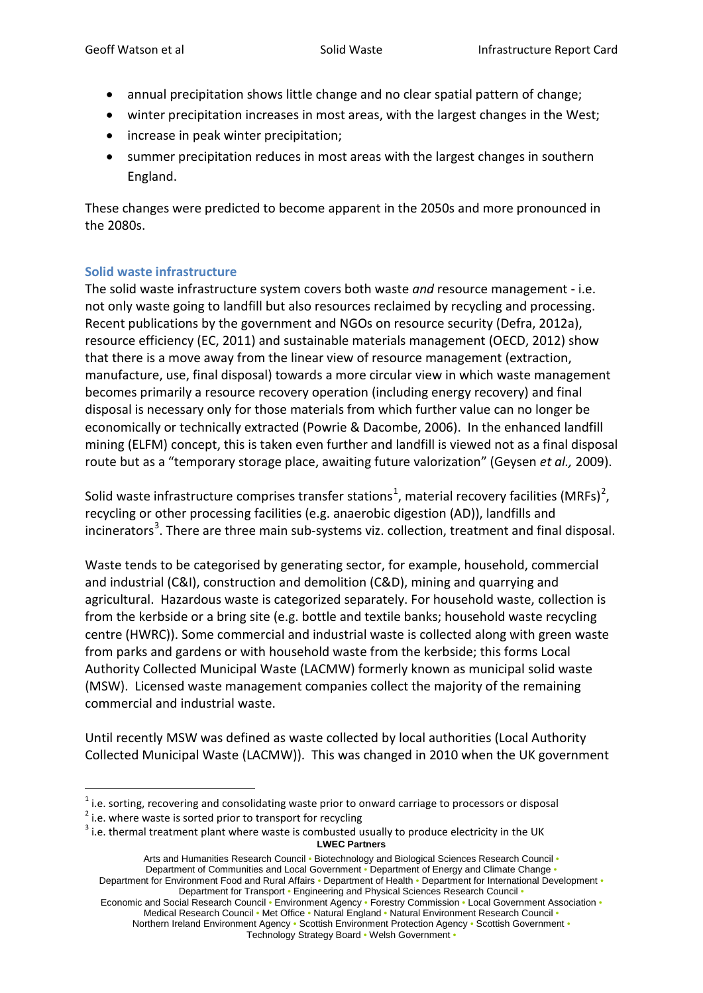- annual precipitation shows little change and no clear spatial pattern of change;
- winter precipitation increases in most areas, with the largest changes in the West;
- increase in peak winter precipitation;
- summer precipitation reduces in most areas with the largest changes in southern England.

These changes were predicted to become apparent in the 2050s and more pronounced in the 2080s.

# **Solid waste infrastructure**

The solid waste infrastructure system covers both waste *and* resource management - i.e. not only waste going to landfill but also resources reclaimed by recycling and processing. Recent publications by the government and NGOs on resource security (Defra, 2012a), resource efficiency (EC, 2011) and sustainable materials management (OECD, 2012) show that there is a move away from the linear view of resource management (extraction, manufacture, use, final disposal) towards a more circular view in which waste management becomes primarily a resource recovery operation (including energy recovery) and final disposal is necessary only for those materials from which further value can no longer be economically or technically extracted (Powrie & Dacombe, 2006). In the enhanced landfill mining (ELFM) concept, this is taken even further and landfill is viewed not as a final disposal route but as a "temporary storage place, awaiting future valorization" (Geysen *et al.,* 2009).

Solid waste infrastructure comprises transfer stations<sup>[1](#page-0-0)</sup>, material recovery facilities (MRFs)<sup>[2](#page-2-0)</sup>, recycling or other processing facilities (e.g. anaerobic digestion (AD)), landfills and incinerators<sup>[3](#page-2-1)</sup>. There are three main sub-systems viz. collection, treatment and final disposal.

Waste tends to be categorised by generating sector, for example, household, commercial and industrial (C&I), construction and demolition (C&D), mining and quarrying and agricultural. Hazardous waste is categorized separately. For household waste, collection is from the kerbside or a bring site (e.g. bottle and textile banks; household waste recycling centre (HWRC)). Some commercial and industrial waste is collected along with green waste from parks and gardens or with household waste from the kerbside; this forms Local Authority Collected Municipal Waste (LACMW) formerly known as municipal solid waste (MSW). Licensed waste management companies collect the majority of the remaining commercial and industrial waste.

Until recently MSW was defined as waste collected by local authorities (Local Authority Collected Municipal Waste (LACMW)). This was changed in 2010 when the UK government

Arts and Humanities Research Council • Biotechnology and Biological Sciences Research Council • Department of Communities and Local Government • Department of Energy and Climate Change • Department for Environment Food and Rural Affairs • Department of Health • Department for International Development • Department for Transport • Engineering and Physical Sciences Research Council • Economic and Social Research Council • Environment Agency • Forestry Commission • Local Government Association •

Medical Research Council • Met Office • Natural England • Natural Environment Research Council • Northern Ireland Environment Agency • Scottish Environment Protection Agency • Scottish Government • Technology Strategy Board • Welsh Government •

<span id="page-2-1"></span><span id="page-2-0"></span>

**LWEC Partners** <sup>1</sup> i.e. sorting, recovering and consolidating waste prior to onward carriage to processors or disposal<br><sup>2</sup> i.e. where waste is sorted prior to transport for recycling<br> $3$  i.e. thermal treatment plant where waste is combu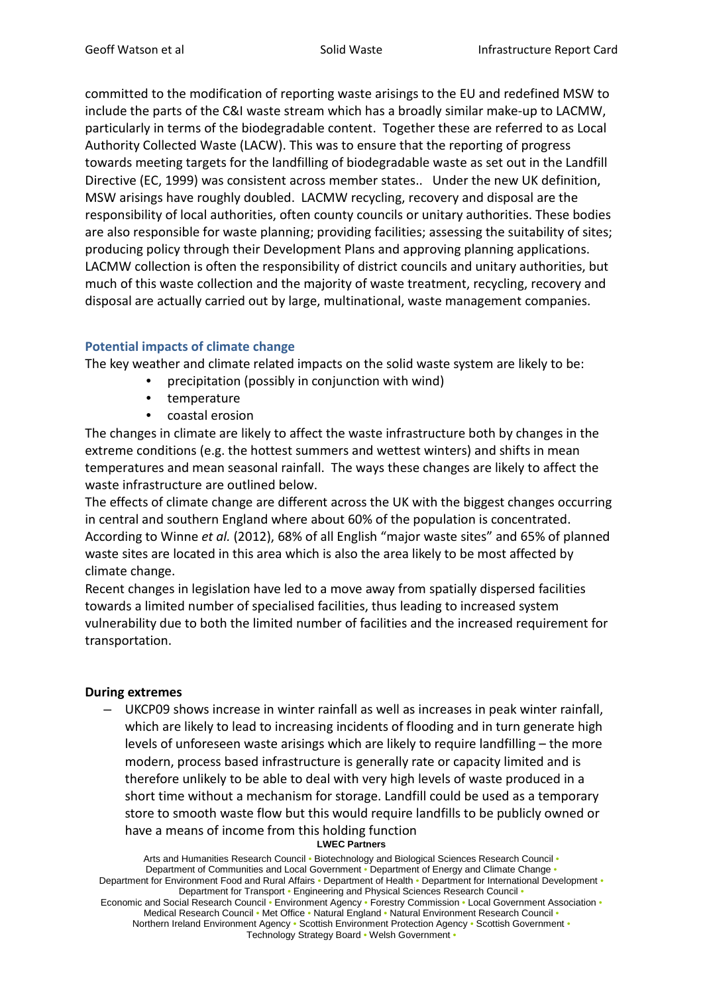committed to the modification of reporting waste arisings to the EU and redefined MSW to include the parts of the C&I waste stream which has a broadly similar make-up to LACMW, particularly in terms of the biodegradable content. Together these are referred to as Local Authority Collected Waste (LACW). This was to ensure that the reporting of progress towards meeting targets for the landfilling of biodegradable waste as set out in the Landfill Directive (EC, 1999) was consistent across member states.. Under the new UK definition, MSW arisings have roughly doubled. LACMW recycling, recovery and disposal are the responsibility of local authorities, often county councils or unitary authorities. These bodies are also responsible for waste planning; providing facilities; assessing the suitability of sites; producing policy through their Development Plans and approving planning applications. LACMW collection is often the responsibility of district councils and unitary authorities, but much of this waste collection and the majority of waste treatment, recycling, recovery and disposal are actually carried out by large, multinational, waste management companies.

# **Potential impacts of climate change**

The key weather and climate related impacts on the solid waste system are likely to be:

- precipitation (possibly in conjunction with wind)
- temperature
- coastal erosion

The changes in climate are likely to affect the waste infrastructure both by changes in the extreme conditions (e.g. the hottest summers and wettest winters) and shifts in mean temperatures and mean seasonal rainfall. The ways these changes are likely to affect the waste infrastructure are outlined below.

The effects of climate change are different across the UK with the biggest changes occurring in central and southern England where about 60% of the population is concentrated. According to Winne *et al.* (2012), 68% of all English "major waste sites" and 65% of planned waste sites are located in this area which is also the area likely to be most affected by climate change.

Recent changes in legislation have led to a move away from spatially dispersed facilities towards a limited number of specialised facilities, thus leading to increased system vulnerability due to both the limited number of facilities and the increased requirement for transportation.

# **During extremes**

– UKCP09 shows increase in winter rainfall as well as increases in peak winter rainfall, which are likely to lead to increasing incidents of flooding and in turn generate high levels of unforeseen waste arisings which are likely to require landfilling – the more modern, process based infrastructure is generally rate or capacity limited and is therefore unlikely to be able to deal with very high levels of waste produced in a short time without a mechanism for storage. Landfill could be used as a temporary store to smooth waste flow but this would require landfills to be publicly owned or have a means of income from this holding function

#### **LWEC Partners**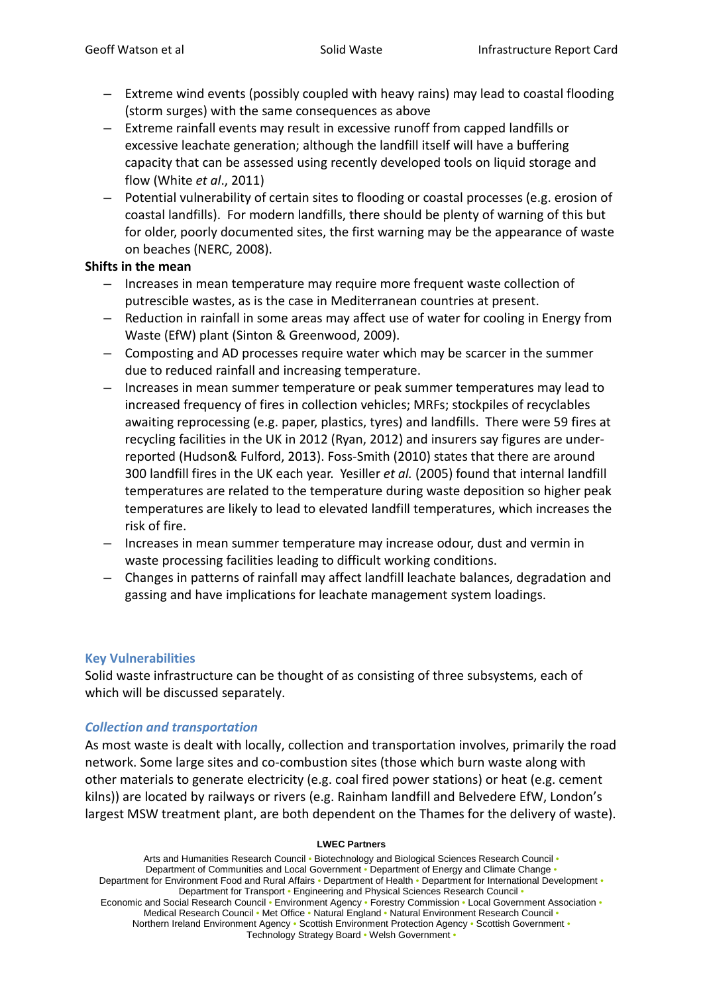- Extreme wind events (possibly coupled with heavy rains) may lead to coastal flooding (storm surges) with the same consequences as above
- Extreme rainfall events may result in excessive runoff from capped landfills or excessive leachate generation; although the landfill itself will have a buffering capacity that can be assessed using recently developed tools on liquid storage and flow (White *et al*., 2011)
- Potential vulnerability of certain sites to flooding or coastal processes (e.g. erosion of coastal landfills). For modern landfills, there should be plenty of warning of this but for older, poorly documented sites, the first warning may be the appearance of waste on beaches (NERC, 2008).

### **Shifts in the mean**

- Increases in mean temperature may require more frequent waste collection of putrescible wastes, as is the case in Mediterranean countries at present.
- Reduction in rainfall in some areas may affect use of water for cooling in Energy from Waste (EfW) plant (Sinton & Greenwood, 2009).
- Composting and AD processes require water which may be scarcer in the summer due to reduced rainfall and increasing temperature.
- Increases in mean summer temperature or peak summer temperatures may lead to increased frequency of fires in collection vehicles; MRFs; stockpiles of recyclables awaiting reprocessing (e.g. paper, plastics, tyres) and landfills. There were 59 fires at recycling facilities in the UK in 2012 (Ryan, 2012) and insurers say figures are underreported (Hudson& Fulford, 2013). Foss-Smith (2010) states that there are around 300 landfill fires in the UK each year. Yesiller *et al.* (2005) found that internal landfill temperatures are related to the temperature during waste deposition so higher peak temperatures are likely to lead to elevated landfill temperatures, which increases the risk of fire.
- Increases in mean summer temperature may increase odour, dust and vermin in waste processing facilities leading to difficult working conditions.
- Changes in patterns of rainfall may affect landfill leachate balances, degradation and gassing and have implications for leachate management system loadings.

# **Key Vulnerabilities**

Solid waste infrastructure can be thought of as consisting of three subsystems, each of which will be discussed separately.

# *Collection and transportation*

As most waste is dealt with locally, collection and transportation involves, primarily the road network. Some large sites and co-combustion sites (those which burn waste along with other materials to generate electricity (e.g. coal fired power stations) or heat (e.g. cement kilns)) are located by railways or rivers (e.g. Rainham landfill and Belvedere EfW, London's largest MSW treatment plant, are both dependent on the Thames for the delivery of waste).

#### **LWEC Partners**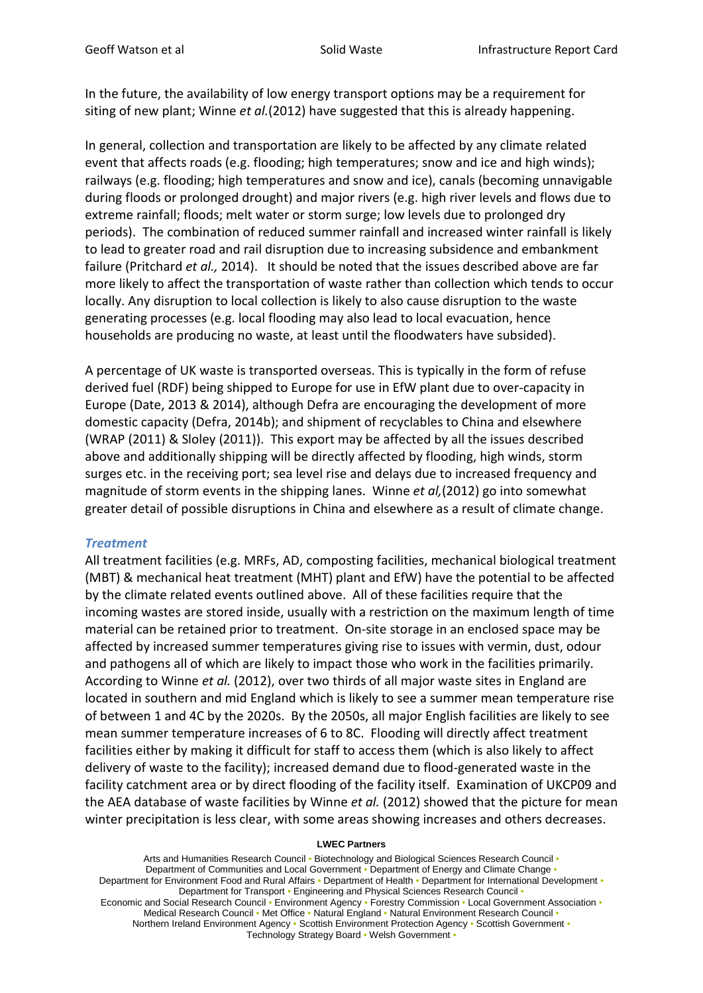In the future, the availability of low energy transport options may be a requirement for siting of new plant; Winne *et al.*(2012) have suggested that this is already happening.

In general, collection and transportation are likely to be affected by any climate related event that affects roads (e.g. flooding; high temperatures; snow and ice and high winds); railways (e.g. flooding; high temperatures and snow and ice), canals (becoming unnavigable during floods or prolonged drought) and major rivers (e.g. high river levels and flows due to extreme rainfall; floods; melt water or storm surge; low levels due to prolonged dry periods). The combination of reduced summer rainfall and increased winter rainfall is likely to lead to greater road and rail disruption due to increasing subsidence and embankment failure (Pritchard *et al.,* 2014). It should be noted that the issues described above are far more likely to affect the transportation of waste rather than collection which tends to occur locally. Any disruption to local collection is likely to also cause disruption to the waste generating processes (e.g. local flooding may also lead to local evacuation, hence households are producing no waste, at least until the floodwaters have subsided).

A percentage of UK waste is transported overseas. This is typically in the form of refuse derived fuel (RDF) being shipped to Europe for use in EfW plant due to over-capacity in Europe (Date, 2013 & 2014), although Defra are encouraging the development of more domestic capacity (Defra, 2014b); and shipment of recyclables to China and elsewhere (WRAP (2011) & Sloley (2011)). This export may be affected by all the issues described above and additionally shipping will be directly affected by flooding, high winds, storm surges etc. in the receiving port; sea level rise and delays due to increased frequency and magnitude of storm events in the shipping lanes. Winne *et al,*(2012) go into somewhat greater detail of possible disruptions in China and elsewhere as a result of climate change.

### *Treatment*

All treatment facilities (e.g. MRFs, AD, composting facilities, mechanical biological treatment (MBT) & mechanical heat treatment (MHT) plant and EfW) have the potential to be affected by the climate related events outlined above. All of these facilities require that the incoming wastes are stored inside, usually with a restriction on the maximum length of time material can be retained prior to treatment. On-site storage in an enclosed space may be affected by increased summer temperatures giving rise to issues with vermin, dust, odour and pathogens all of which are likely to impact those who work in the facilities primarily. According to Winne *et al.* (2012), over two thirds of all major waste sites in England are located in southern and mid England which is likely to see a summer mean temperature rise of between 1 and 4C by the 2020s. By the 2050s, all major English facilities are likely to see mean summer temperature increases of 6 to 8C. Flooding will directly affect treatment facilities either by making it difficult for staff to access them (which is also likely to affect delivery of waste to the facility); increased demand due to flood-generated waste in the facility catchment area or by direct flooding of the facility itself. Examination of UKCP09 and the AEA database of waste facilities by Winne *et al.* (2012) showed that the picture for mean winter precipitation is less clear, with some areas showing increases and others decreases.

#### **LWEC Partners**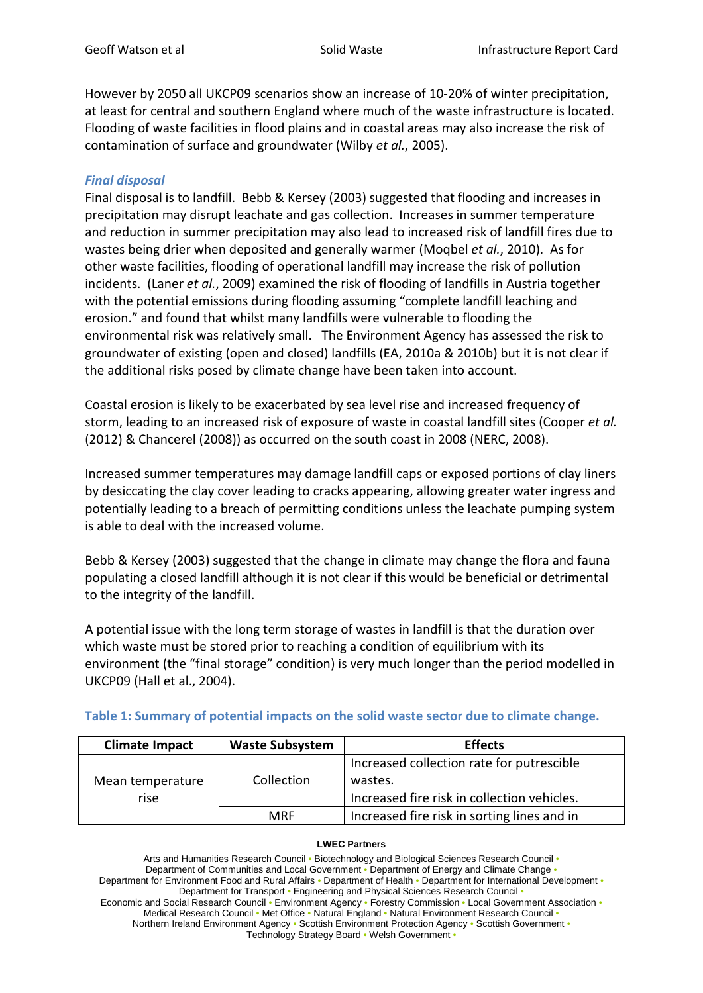However by 2050 all UKCP09 scenarios show an increase of 10-20% of winter precipitation, at least for central and southern England where much of the waste infrastructure is located. Flooding of waste facilities in flood plains and in coastal areas may also increase the risk of contamination of surface and groundwater (Wilby *et al.*, 2005).

# *Final disposal*

Final disposal is to landfill. Bebb & Kersey (2003) suggested that flooding and increases in precipitation may disrupt leachate and gas collection. Increases in summer temperature and reduction in summer precipitation may also lead to increased risk of landfill fires due to wastes being drier when deposited and generally warmer (Moqbel *et al.*, 2010). As for other waste facilities, flooding of operational landfill may increase the risk of pollution incidents. (Laner *et al.*, 2009) examined the risk of flooding of landfills in Austria together with the potential emissions during flooding assuming "complete landfill leaching and erosion." and found that whilst many landfills were vulnerable to flooding the environmental risk was relatively small. The Environment Agency has assessed the risk to groundwater of existing (open and closed) landfills (EA, 2010a & 2010b) but it is not clear if the additional risks posed by climate change have been taken into account.

Coastal erosion is likely to be exacerbated by sea level rise and increased frequency of storm, leading to an increased risk of exposure of waste in coastal landfill sites (Cooper *et al.* (2012) & Chancerel (2008)) as occurred on the south coast in 2008 (NERC, 2008).

Increased summer temperatures may damage landfill caps or exposed portions of clay liners by desiccating the clay cover leading to cracks appearing, allowing greater water ingress and potentially leading to a breach of permitting conditions unless the leachate pumping system is able to deal with the increased volume.

Bebb & Kersey (2003) suggested that the change in climate may change the flora and fauna populating a closed landfill although it is not clear if this would be beneficial or detrimental to the integrity of the landfill.

A potential issue with the long term storage of wastes in landfill is that the duration over which waste must be stored prior to reaching a condition of equilibrium with its environment (the "final storage" condition) is very much longer than the period modelled in UKCP09 (Hall et al., 2004).

| <b>Climate Impact</b> | <b>Waste Subsystem</b> | <b>Effects</b>                              |  |
|-----------------------|------------------------|---------------------------------------------|--|
|                       |                        | Increased collection rate for putrescible   |  |
| Mean temperature      | Collection             | wastes.                                     |  |
| rise                  |                        | Increased fire risk in collection vehicles. |  |
|                       | MRF                    | Increased fire risk in sorting lines and in |  |

|  |  |  |  |  | Table 1: Summary of potential impacts on the solid waste sector due to climate change. |
|--|--|--|--|--|----------------------------------------------------------------------------------------|
|--|--|--|--|--|----------------------------------------------------------------------------------------|

#### **LWEC Partners**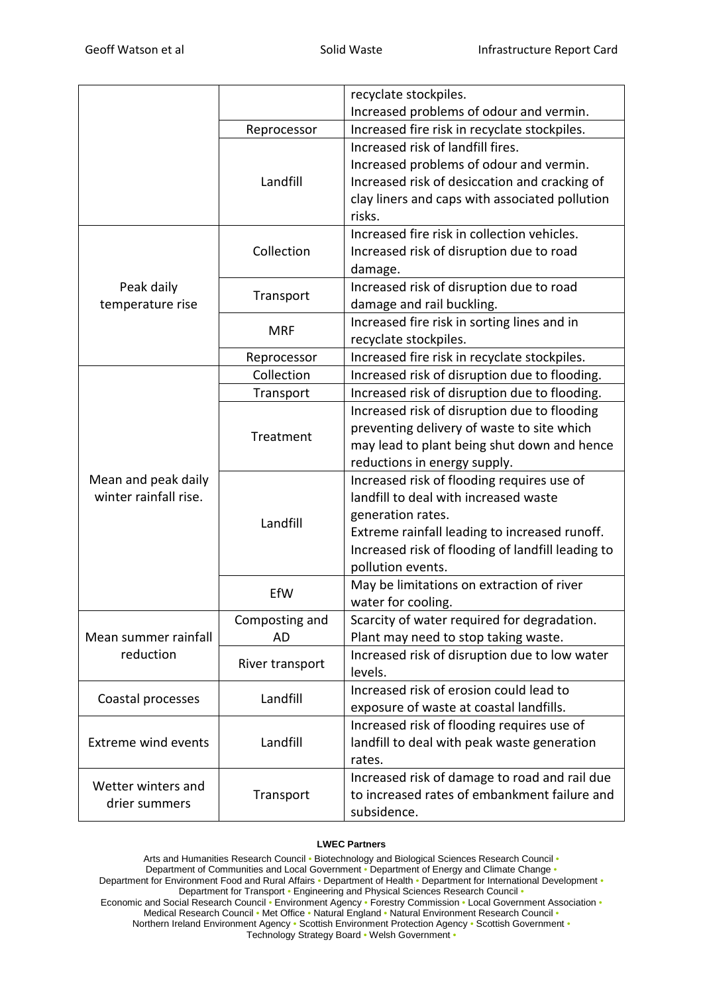|                            |                 | recyclate stockpiles.                             |
|----------------------------|-----------------|---------------------------------------------------|
|                            |                 | Increased problems of odour and vermin.           |
|                            | Reprocessor     | Increased fire risk in recyclate stockpiles.      |
|                            |                 | Increased risk of landfill fires.                 |
|                            |                 | Increased problems of odour and vermin.           |
|                            | Landfill        | Increased risk of desiccation and cracking of     |
|                            |                 | clay liners and caps with associated pollution    |
|                            |                 | risks.                                            |
|                            | Collection      | Increased fire risk in collection vehicles.       |
|                            |                 | Increased risk of disruption due to road          |
|                            |                 | damage.                                           |
| Peak daily                 | Transport       | Increased risk of disruption due to road          |
| temperature rise           |                 | damage and rail buckling.                         |
|                            | <b>MRF</b>      | Increased fire risk in sorting lines and in       |
|                            |                 | recyclate stockpiles.                             |
|                            | Reprocessor     | Increased fire risk in recyclate stockpiles.      |
|                            | Collection      | Increased risk of disruption due to flooding.     |
|                            | Transport       | Increased risk of disruption due to flooding.     |
|                            |                 | Increased risk of disruption due to flooding      |
|                            | Treatment       | preventing delivery of waste to site which        |
|                            |                 | may lead to plant being shut down and hence       |
|                            |                 | reductions in energy supply.                      |
| Mean and peak daily        | Landfill        | Increased risk of flooding requires use of        |
| winter rainfall rise.      |                 | landfill to deal with increased waste             |
|                            |                 | generation rates.                                 |
|                            |                 | Extreme rainfall leading to increased runoff.     |
|                            |                 | Increased risk of flooding of landfill leading to |
|                            |                 | pollution events.                                 |
|                            | EfW             | May be limitations on extraction of river         |
|                            |                 | water for cooling.                                |
|                            | Composting and  | Scarcity of water required for degradation.       |
| Mean summer rainfall       | <b>AD</b>       | Plant may need to stop taking waste.              |
| reduction                  | River transport | Increased risk of disruption due to low water     |
|                            |                 | levels.                                           |
| Coastal processes          | Landfill        | Increased risk of erosion could lead to           |
|                            |                 | exposure of waste at coastal landfills.           |
|                            |                 | Increased risk of flooding requires use of        |
| <b>Extreme wind events</b> | Landfill        | landfill to deal with peak waste generation       |
|                            |                 | rates.                                            |
| Wetter winters and         | Transport       | Increased risk of damage to road and rail due     |
| drier summers              |                 | to increased rates of embankment failure and      |
|                            |                 | subsidence.                                       |

#### **LWEC Partners**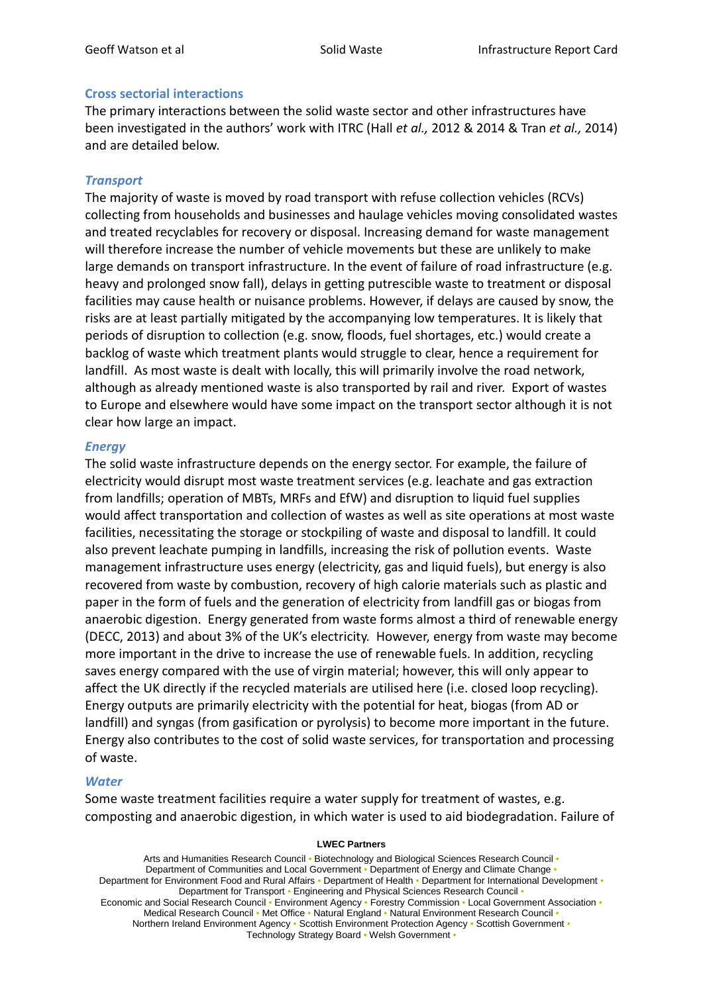### **Cross sectorial interactions**

The primary interactions between the solid waste sector and other infrastructures have been investigated in the authors' work with ITRC (Hall *et al.,* 2012 & 2014 & Tran *et al.,* 2014) and are detailed below.

## *Transport*

The majority of waste is moved by road transport with refuse collection vehicles (RCVs) collecting from households and businesses and haulage vehicles moving consolidated wastes and treated recyclables for recovery or disposal. Increasing demand for waste management will therefore increase the number of vehicle movements but these are unlikely to make large demands on transport infrastructure. In the event of failure of road infrastructure (e.g. heavy and prolonged snow fall), delays in getting putrescible waste to treatment or disposal facilities may cause health or nuisance problems. However, if delays are caused by snow, the risks are at least partially mitigated by the accompanying low temperatures. It is likely that periods of disruption to collection (e.g. snow, floods, fuel shortages, etc.) would create a backlog of waste which treatment plants would struggle to clear, hence a requirement for landfill. As most waste is dealt with locally, this will primarily involve the road network, although as already mentioned waste is also transported by rail and river. Export of wastes to Europe and elsewhere would have some impact on the transport sector although it is not clear how large an impact.

### *Energy*

The solid waste infrastructure depends on the energy sector. For example, the failure of electricity would disrupt most waste treatment services (e.g. leachate and gas extraction from landfills; operation of MBTs, MRFs and EfW) and disruption to liquid fuel supplies would affect transportation and collection of wastes as well as site operations at most waste facilities, necessitating the storage or stockpiling of waste and disposal to landfill. It could also prevent leachate pumping in landfills, increasing the risk of pollution events. Waste management infrastructure uses energy (electricity, gas and liquid fuels), but energy is also recovered from waste by combustion, recovery of high calorie materials such as plastic and paper in the form of fuels and the generation of electricity from landfill gas or biogas from anaerobic digestion. Energy generated from waste forms almost a third of renewable energy (DECC, 2013) and about 3% of the UK's electricity. However, energy from waste may become more important in the drive to increase the use of renewable fuels. In addition, recycling saves energy compared with the use of virgin material; however, this will only appear to affect the UK directly if the recycled materials are utilised here (i.e. closed loop recycling). Energy outputs are primarily electricity with the potential for heat, biogas (from AD or landfill) and syngas (from gasification or pyrolysis) to become more important in the future. Energy also contributes to the cost of solid waste services, for transportation and processing of waste.

# *Water*

Some waste treatment facilities require a water supply for treatment of wastes, e.g. composting and anaerobic digestion, in which water is used to aid biodegradation. Failure of

### **LWEC Partners**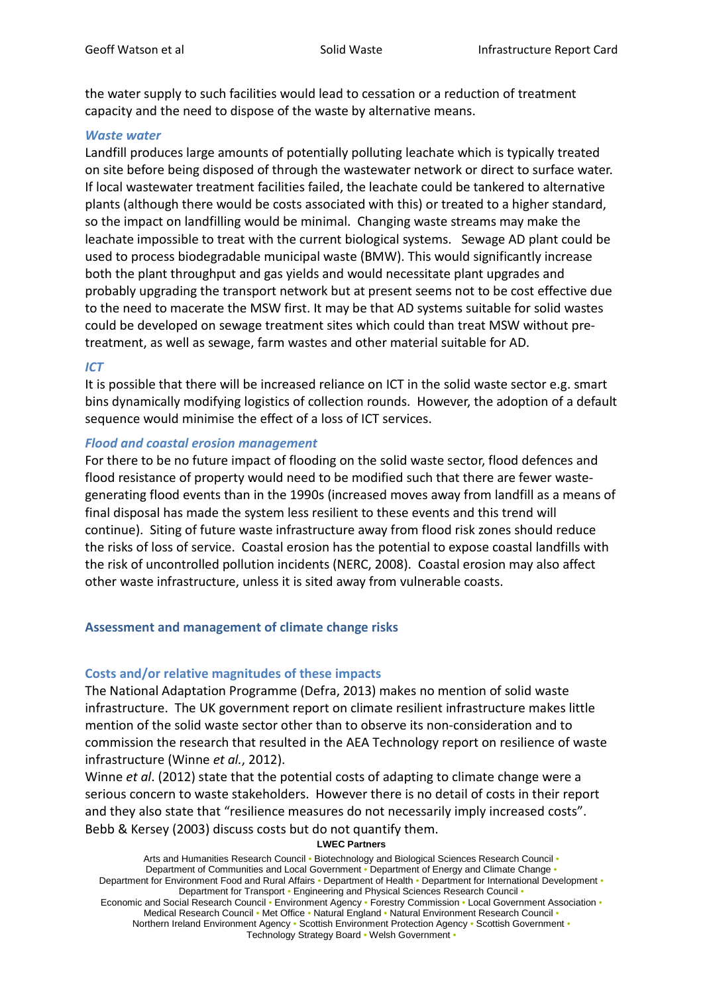the water supply to such facilities would lead to cessation or a reduction of treatment capacity and the need to dispose of the waste by alternative means.

### *Waste water*

Landfill produces large amounts of potentially polluting leachate which is typically treated on site before being disposed of through the wastewater network or direct to surface water. If local wastewater treatment facilities failed, the leachate could be tankered to alternative plants (although there would be costs associated with this) or treated to a higher standard, so the impact on landfilling would be minimal. Changing waste streams may make the leachate impossible to treat with the current biological systems. Sewage AD plant could be used to process biodegradable municipal waste (BMW). This would significantly increase both the plant throughput and gas yields and would necessitate plant upgrades and probably upgrading the transport network but at present seems not to be cost effective due to the need to macerate the MSW first. It may be that AD systems suitable for solid wastes could be developed on sewage treatment sites which could than treat MSW without pretreatment, as well as sewage, farm wastes and other material suitable for AD.

### *ICT*

It is possible that there will be increased reliance on ICT in the solid waste sector e.g. smart bins dynamically modifying logistics of collection rounds. However, the adoption of a default sequence would minimise the effect of a loss of ICT services.

# *Flood and coastal erosion management*

For there to be no future impact of flooding on the solid waste sector, flood defences and flood resistance of property would need to be modified such that there are fewer wastegenerating flood events than in the 1990s (increased moves away from landfill as a means of final disposal has made the system less resilient to these events and this trend will continue). Siting of future waste infrastructure away from flood risk zones should reduce the risks of loss of service. Coastal erosion has the potential to expose coastal landfills with the risk of uncontrolled pollution incidents (NERC, 2008). Coastal erosion may also affect other waste infrastructure, unless it is sited away from vulnerable coasts.

### **Assessment and management of climate change risks**

### **Costs and/or relative magnitudes of these impacts**

The National Adaptation Programme (Defra, 2013) makes no mention of solid waste infrastructure. The UK government report on climate resilient infrastructure makes little mention of the solid waste sector other than to observe its non-consideration and to commission the research that resulted in the AEA Technology report on resilience of waste infrastructure (Winne *et al.*, 2012).

Winne *et al*. (2012) state that the potential costs of adapting to climate change were a serious concern to waste stakeholders. However there is no detail of costs in their report and they also state that "resilience measures do not necessarily imply increased costs". Bebb & Kersey (2003) discuss costs but do not quantify them.

#### **LWEC Partners**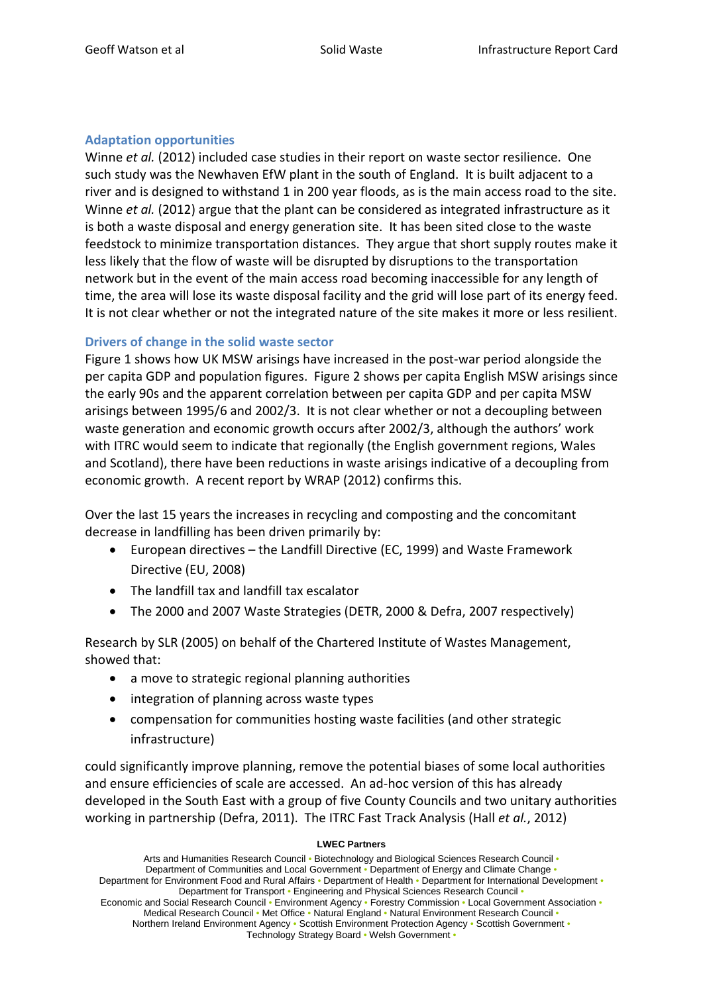# **Adaptation opportunities**

Winne *et al.* (2012) included case studies in their report on waste sector resilience. One such study was the Newhaven EfW plant in the south of England. It is built adjacent to a river and is designed to withstand 1 in 200 year floods, as is the main access road to the site. Winne *et al.* (2012) argue that the plant can be considered as integrated infrastructure as it is both a waste disposal and energy generation site. It has been sited close to the waste feedstock to minimize transportation distances. They argue that short supply routes make it less likely that the flow of waste will be disrupted by disruptions to the transportation network but in the event of the main access road becoming inaccessible for any length of time, the area will lose its waste disposal facility and the grid will lose part of its energy feed. It is not clear whether or not the integrated nature of the site makes it more or less resilient.

# **Drivers of change in the solid waste sector**

Figure 1 shows how UK MSW arisings have increased in the post-war period alongside the per capita GDP and population figures. Figure 2 shows per capita English MSW arisings since the early 90s and the apparent correlation between per capita GDP and per capita MSW arisings between 1995/6 and 2002/3. It is not clear whether or not a decoupling between waste generation and economic growth occurs after 2002/3, although the authors' work with ITRC would seem to indicate that regionally (the English government regions, Wales and Scotland), there have been reductions in waste arisings indicative of a decoupling from economic growth. A recent report by WRAP (2012) confirms this.

Over the last 15 years the increases in recycling and composting and the concomitant decrease in landfilling has been driven primarily by:

- European directives the Landfill Directive (EC, 1999) and Waste Framework Directive (EU, 2008)
- The landfill tax and landfill tax escalator
- The 2000 and 2007 Waste Strategies (DETR, 2000 & Defra, 2007 respectively)

Research by SLR (2005) on behalf of the Chartered Institute of Wastes Management, showed that:

- a move to strategic regional planning authorities
- integration of planning across waste types
- compensation for communities hosting waste facilities (and other strategic infrastructure)

could significantly improve planning, remove the potential biases of some local authorities and ensure efficiencies of scale are accessed. An ad-hoc version of this has already developed in the South East with a group of five County Councils and two unitary authorities working in partnership (Defra, 2011). The ITRC Fast Track Analysis (Hall *et al.*, 2012)

### **LWEC Partners**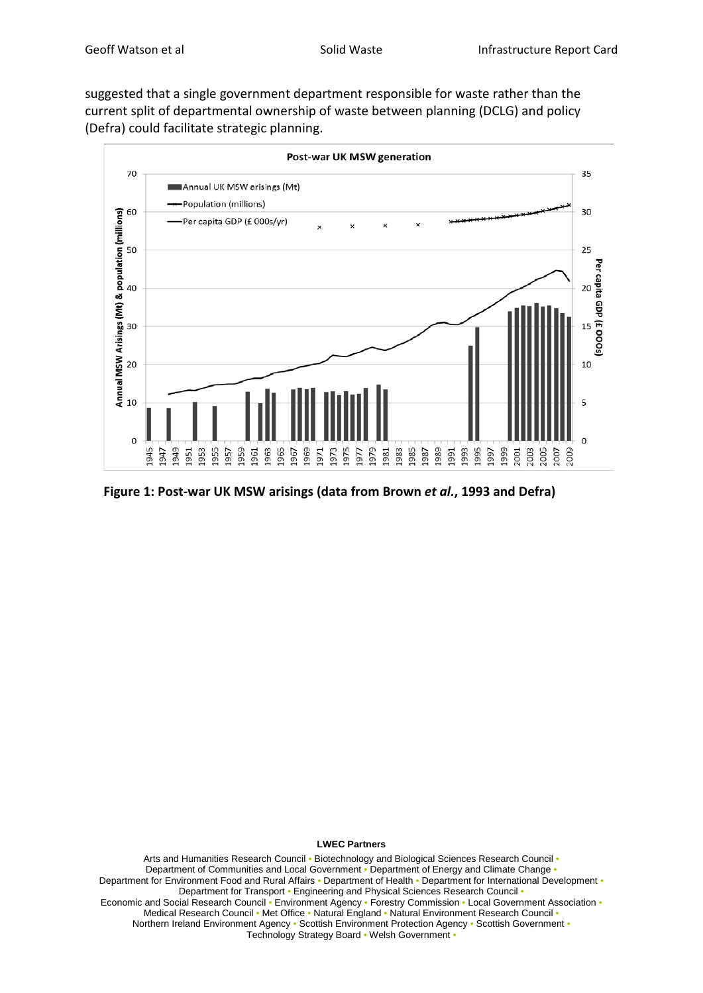suggested that a single government department responsible for waste rather than the current split of departmental ownership of waste between planning (DCLG) and policy (Defra) could facilitate strategic planning.



**Figure 1: Post-war UK MSW arisings (data from Brown** *et al.***, 1993 and Defra)**

#### **LWEC Partners**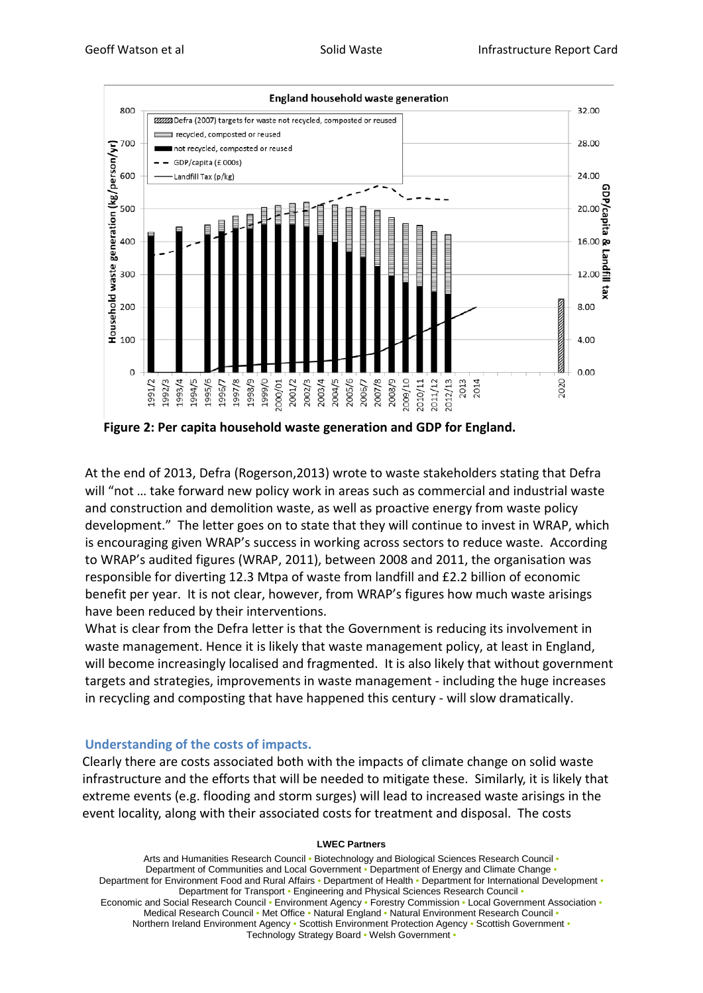

**Figure 2: Per capita household waste generation and GDP for England.** 

At the end of 2013, Defra (Rogerson,2013) wrote to waste stakeholders stating that Defra will "not … take forward new policy work in areas such as commercial and industrial waste and construction and demolition waste, as well as proactive energy from waste policy development." The letter goes on to state that they will continue to invest in WRAP, which is encouraging given WRAP's success in working across sectors to reduce waste. According to WRAP's audited figures (WRAP, 2011), between 2008 and 2011, the organisation was responsible for diverting 12.3 Mtpa of waste from landfill and £2.2 billion of economic benefit per year. It is not clear, however, from WRAP's figures how much waste arisings have been reduced by their interventions.

What is clear from the Defra letter is that the Government is reducing its involvement in waste management. Hence it is likely that waste management policy, at least in England, will become increasingly localised and fragmented. It is also likely that without government targets and strategies, improvements in waste management - including the huge increases in recycling and composting that have happened this century - will slow dramatically.

### **Understanding of the costs of impacts.**

Clearly there are costs associated both with the impacts of climate change on solid waste infrastructure and the efforts that will be needed to mitigate these. Similarly, it is likely that extreme events (e.g. flooding and storm surges) will lead to increased waste arisings in the event locality, along with their associated costs for treatment and disposal. The costs

#### **LWEC Partners**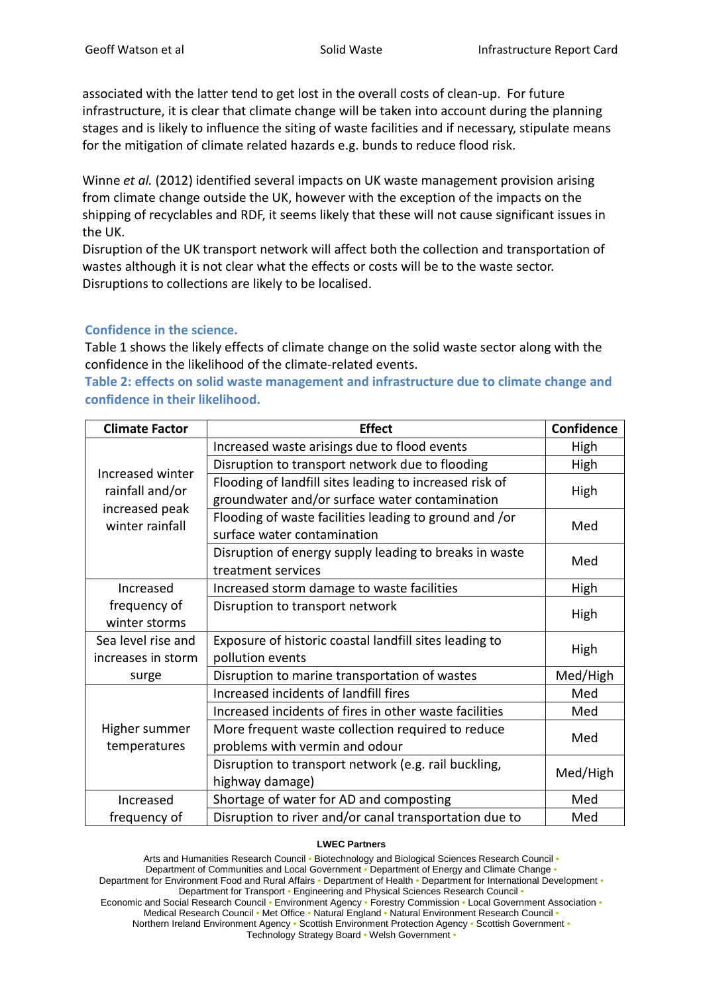associated with the latter tend to get lost in the overall costs of clean-up. For future infrastructure, it is clear that climate change will be taken into account during the planning stages and is likely to influence the siting of waste facilities and if necessary, stipulate means for the mitigation of climate related hazards e.g. bunds to reduce flood risk.

Winne *et al.* (2012) identified several impacts on UK waste management provision arising from climate change outside the UK, however with the exception of the impacts on the shipping of recyclables and RDF, it seems likely that these will not cause significant issues in the UK.

Disruption of the UK transport network will affect both the collection and transportation of wastes although it is not clear what the effects or costs will be to the waste sector. Disruptions to collections are likely to be localised.

### **Confidence in the science.**

Table 1 shows the likely effects of climate change on the solid waste sector along with the confidence in the likelihood of the climate-related events.

**Table 2: effects on solid waste management and infrastructure due to climate change and confidence in their likelihood.**

| <b>Climate Factor</b>                                                    | <b>Effect</b>                                           | <b>Confidence</b> |  |
|--------------------------------------------------------------------------|---------------------------------------------------------|-------------------|--|
| Increased winter<br>rainfall and/or<br>increased peak<br>winter rainfall | Increased waste arisings due to flood events            | High              |  |
|                                                                          | Disruption to transport network due to flooding         | High              |  |
|                                                                          | Flooding of landfill sites leading to increased risk of | High              |  |
|                                                                          | groundwater and/or surface water contamination          |                   |  |
|                                                                          | Flooding of waste facilities leading to ground and /or  | Med               |  |
|                                                                          | surface water contamination                             |                   |  |
|                                                                          | Disruption of energy supply leading to breaks in waste  | Med               |  |
|                                                                          | treatment services                                      |                   |  |
| Increased                                                                | Increased storm damage to waste facilities              | High              |  |
| frequency of                                                             | Disruption to transport network                         |                   |  |
| winter storms                                                            |                                                         | High              |  |
| Sea level rise and                                                       | Exposure of historic coastal landfill sites leading to  | High              |  |
| increases in storm                                                       | pollution events                                        |                   |  |
| surge                                                                    | Disruption to marine transportation of wastes           | Med/High          |  |
|                                                                          | Increased incidents of landfill fires                   | Med               |  |
|                                                                          | Increased incidents of fires in other waste facilities  | Med               |  |
| Higher summer                                                            | More frequent waste collection required to reduce       |                   |  |
| temperatures                                                             | problems with vermin and odour                          | Med               |  |
|                                                                          | Disruption to transport network (e.g. rail buckling,    |                   |  |
|                                                                          | highway damage)                                         | Med/High          |  |
| Increased                                                                | Shortage of water for AD and composting                 | Med               |  |
| frequency of                                                             | Disruption to river and/or canal transportation due to  | Med               |  |

#### **LWEC Partners**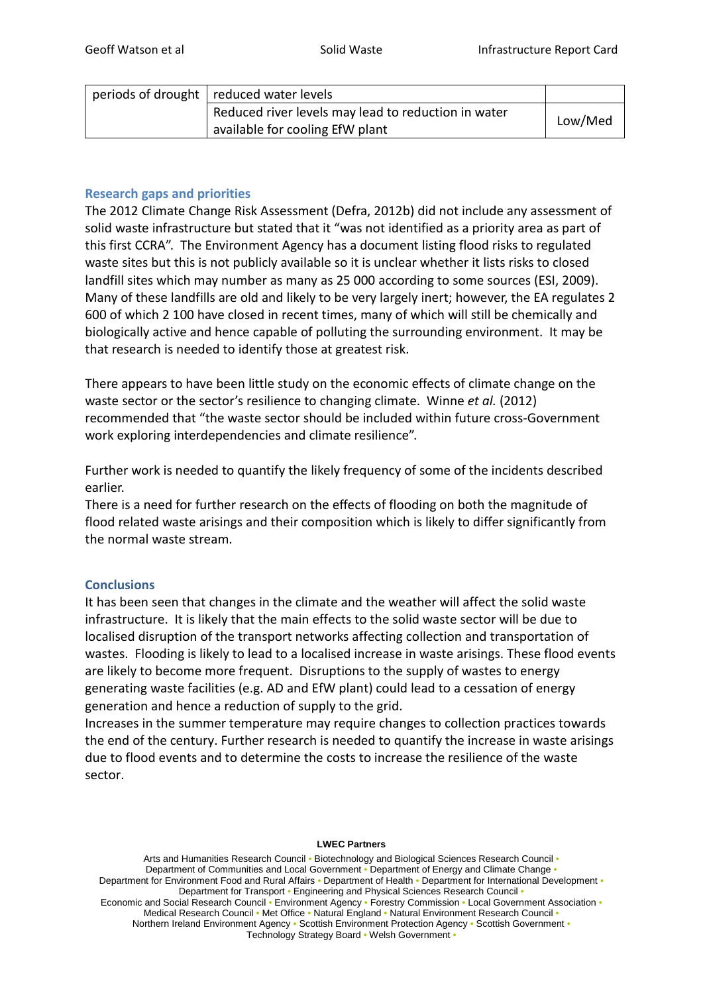| periods of drought   reduced water levels           |         |
|-----------------------------------------------------|---------|
| Reduced river levels may lead to reduction in water | Low/Med |
| available for cooling EfW plant                     |         |

### **Research gaps and priorities**

The 2012 Climate Change Risk Assessment (Defra, 2012b) did not include any assessment of solid waste infrastructure but stated that it "was not identified as a priority area as part of this first CCRA". The Environment Agency has a document listing flood risks to regulated waste sites but this is not publicly available so it is unclear whether it lists risks to closed landfill sites which may number as many as 25 000 according to some sources (ESI, 2009). Many of these landfills are old and likely to be very largely inert; however, the EA regulates 2 600 of which 2 100 have closed in recent times, many of which will still be chemically and biologically active and hence capable of polluting the surrounding environment. It may be that research is needed to identify those at greatest risk.

There appears to have been little study on the economic effects of climate change on the waste sector or the sector's resilience to changing climate. Winne *et al.* (2012) recommended that "the waste sector should be included within future cross-Government work exploring interdependencies and climate resilience".

Further work is needed to quantify the likely frequency of some of the incidents described earlier.

There is a need for further research on the effects of flooding on both the magnitude of flood related waste arisings and their composition which is likely to differ significantly from the normal waste stream.

### **Conclusions**

It has been seen that changes in the climate and the weather will affect the solid waste infrastructure. It is likely that the main effects to the solid waste sector will be due to localised disruption of the transport networks affecting collection and transportation of wastes. Flooding is likely to lead to a localised increase in waste arisings. These flood events are likely to become more frequent. Disruptions to the supply of wastes to energy generating waste facilities (e.g. AD and EfW plant) could lead to a cessation of energy generation and hence a reduction of supply to the grid.

Increases in the summer temperature may require changes to collection practices towards the end of the century. Further research is needed to quantify the increase in waste arisings due to flood events and to determine the costs to increase the resilience of the waste sector.

#### **LWEC Partners**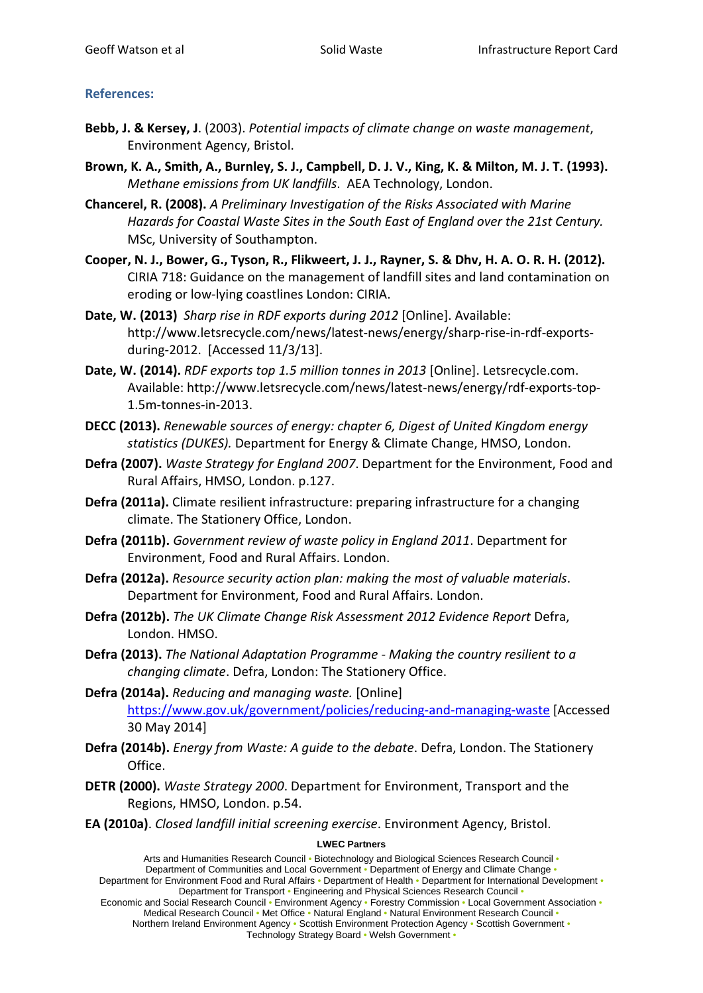# **References:**

- **Bebb, J. & Kersey, J**. (2003). *Potential impacts of climate change on waste management*, Environment Agency, Bristol.
- **Brown, K. A., Smith, A., Burnley, S. J., Campbell, D. J. V., King, K. & Milton, M. J. T. (1993).** *Methane emissions from UK landfills*. AEA Technology, London.
- **Chancerel, R. (2008).** *A Preliminary Investigation of the Risks Associated with Marine Hazards for Coastal Waste Sites in the South East of England over the 21st Century.* MSc, University of Southampton.
- **Cooper, N. J., Bower, G., Tyson, R., Flikweert, J. J., Rayner, S. & Dhv, H. A. O. R. H. (2012).** CIRIA 718: Guidance on the management of landfill sites and land contamination on eroding or low-lying coastlines London: CIRIA.
- **Date, W. (2013)** *Sharp rise in RDF exports during 2012* [Online]. Available: http://www.letsrecycle.com/news/latest-news/energy/sharp-rise-in-rdf-exportsduring-2012. [Accessed 11/3/13].
- **Date, W. (2014).** *RDF exports top 1.5 million tonnes in 2013* [Online]. Letsrecycle.com. Available: http://www.letsrecycle.com/news/latest-news/energy/rdf-exports-top-1.5m-tonnes-in-2013.
- **DECC (2013).** *Renewable sources of energy: chapter 6, Digest of United Kingdom energy statistics (DUKES).* Department for Energy & Climate Change, HMSO, London.
- **Defra (2007).** *Waste Strategy for England 2007*. Department for the Environment, Food and Rural Affairs, HMSO, London. p.127.
- **Defra (2011a).** Climate resilient infrastructure: preparing infrastructure for a changing climate. The Stationery Office, London.
- **Defra (2011b).** *Government review of waste policy in England 2011*. Department for Environment, Food and Rural Affairs. London.
- **Defra (2012a).** *Resource security action plan: making the most of valuable materials*. Department for Environment, Food and Rural Affairs. London.
- **Defra (2012b).** *The UK Climate Change Risk Assessment 2012 Evidence Report* Defra, London. HMSO.
- **Defra (2013).** *The National Adaptation Programme - Making the country resilient to a changing climate*. Defra, London: The Stationery Office.
- **Defra (2014a).** *Reducing and managing waste.* [Online] <https://www.gov.uk/government/policies/reducing-and-managing-waste> [Accessed 30 May 2014]
- **Defra (2014b).** *Energy from Waste: A guide to the debate*. Defra, London. The Stationery Office.
- **DETR (2000).** *Waste Strategy 2000*. Department for Environment, Transport and the Regions, HMSO, London. p.54.
- **EA (2010a)**. *Closed landfill initial screening exercise*. Environment Agency, Bristol.

# **LWEC Partners**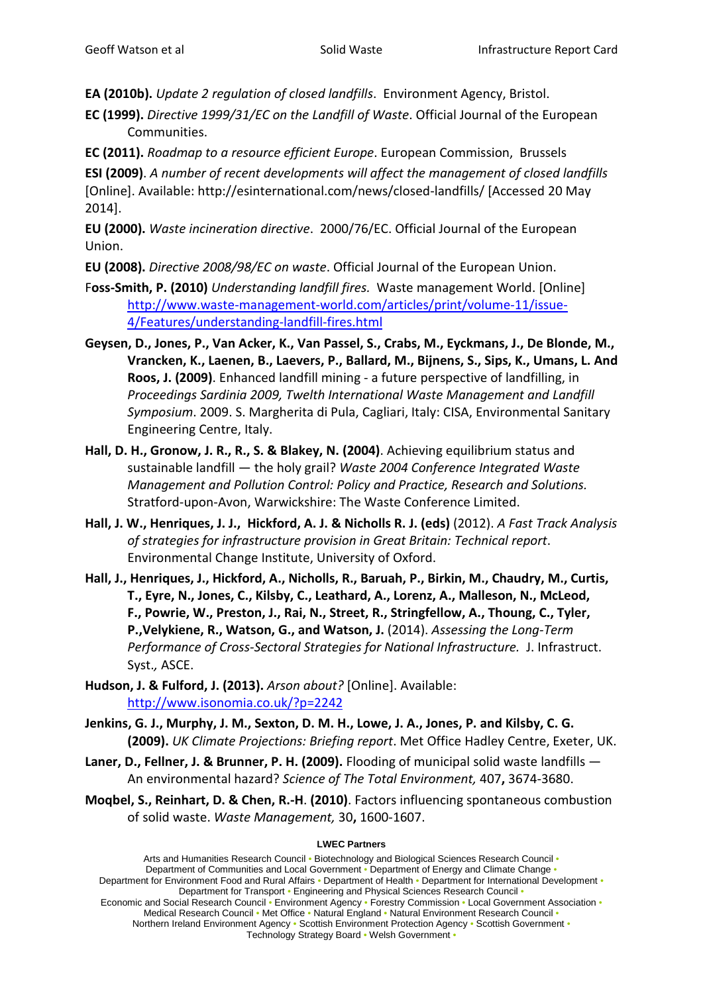**EA (2010b).** *Update 2 regulation of closed landfills*. Environment Agency, Bristol.

**EC (1999).** *Directive 1999/31/EC on the Landfill of Waste*. Official Journal of the European Communities.

**EC (2011).** *Roadmap to a resource efficient Europe*. European Commission, Brussels

**ESI (2009)**. *A number of recent developments will affect the management of closed landfills*  [Online]. Available: http://esinternational.com/news/closed-landfills/ [Accessed 20 May 2014].

**EU (2000).** *Waste incineration directive*. 2000/76/EC. Official Journal of the European Union.

- **EU (2008).** *Directive 2008/98/EC on waste*. Official Journal of the European Union.
- F**oss-Smith, P. (2010)** *Understanding landfill fires.* Waste management World. [Online] [http://www.waste-management-world.com/articles/print/volume-11/issue-](http://www.waste-management-world.com/articles/print/volume-11/issue-4/Features/understanding-landfill-fires.html)[4/Features/understanding-landfill-fires.html](http://www.waste-management-world.com/articles/print/volume-11/issue-4/Features/understanding-landfill-fires.html)
- **Geysen, D., Jones, P., Van Acker, K., Van Passel, S., Crabs, M., Eyckmans, J., De Blonde, M., Vrancken, K., Laenen, B., Laevers, P., Ballard, M., Bijnens, S., Sips, K., Umans, L. And Roos, J. (2009)**. Enhanced landfill mining - a future perspective of landfilling, in *Proceedings Sardinia 2009, Twelth International Waste Management and Landfill Symposium*. 2009. S. Margherita di Pula, Cagliari, Italy: CISA, Environmental Sanitary Engineering Centre, Italy.
- **Hall, D. H., Gronow, J. R., R., S. & Blakey, N. (2004)**. Achieving equilibrium status and sustainable landfill — the holy grail? *Waste 2004 Conference Integrated Waste Management and Pollution Control: Policy and Practice, Research and Solutions.* Stratford-upon-Avon, Warwickshire: The Waste Conference Limited.
- **Hall, J. W., Henriques, J. J., Hickford, A. J. & Nicholls R. J. (eds)** (2012). *A Fast Track Analysis of strategies for infrastructure provision in Great Britain: Technical report*. Environmental Change Institute, University of Oxford.
- **Hall, J., Henriques, J., Hickford, A., Nicholls, R., Baruah, P., Birkin, M., Chaudry, M., Curtis, T., Eyre, N., Jones, C., Kilsby, C., Leathard, A., Lorenz, A., Malleson, N., McLeod, F., Powrie, W., Preston, J., Rai, N., Street, R., Stringfellow, A., Thoung, C., Tyler, P.,Velykiene, R., Watson, G., and Watson, J.** (2014). *Assessing the Long-Term Performance of Cross-Sectoral Strategies for National Infrastructure.* J. Infrastruct. Syst.*,* ASCE.
- **Hudson, J. & Fulford, J. (2013).** *Arson about?* [Online]. Available: <http://www.isonomia.co.uk/?p=2242>
- **Jenkins, G. J., Murphy, J. M., Sexton, D. M. H., Lowe, J. A., Jones, P. and Kilsby, C. G. (2009).** *UK Climate Projections: Briefing report*. Met Office Hadley Centre, Exeter, UK.
- **Laner, D., Fellner, J. & Brunner, P. H. (2009).** Flooding of municipal solid waste landfills An environmental hazard? *Science of The Total Environment,* 407**,** 3674-3680.
- **Moqbel, S., Reinhart, D. & Chen, R.-H**. **(2010)**. Factors influencing spontaneous combustion of solid waste. *Waste Management,* 30**,** 1600-1607.

### **LWEC Partners**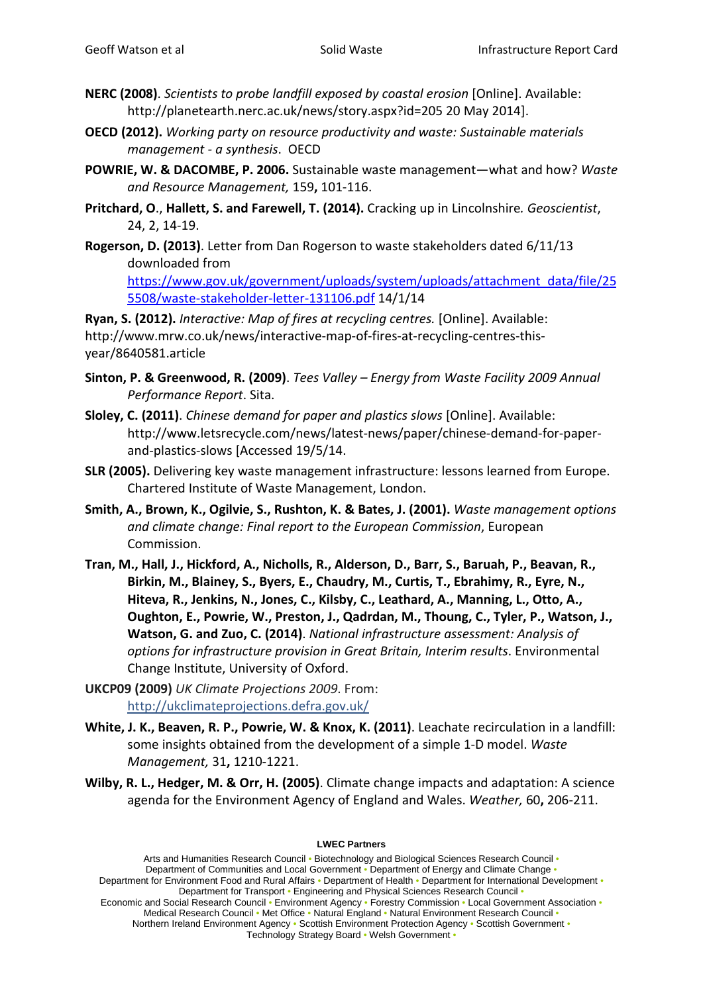- **NERC (2008)**. *Scientists to probe landfill exposed by coastal erosion* [Online]. Available: http://planetearth.nerc.ac.uk/news/story.aspx?id=205 20 May 2014].
- **OECD (2012).** *Working party on resource productivity and waste: Sustainable materials management - a synthesis*. OECD
- **POWRIE, W. & DACOMBE, P. 2006.** Sustainable waste management—what and how? *Waste and Resource Management,* 159**,** 101-116.
- **Pritchard, O**., **Hallett, S. and Farewell, T. (2014).** Cracking up in Lincolnshire*. Geoscientist*, 24, 2, 14-19.
- **Rogerson, D. (2013)**. Letter from Dan Rogerson to waste stakeholders dated 6/11/13 downloaded from [https://www.gov.uk/government/uploads/system/uploads/attachment\\_data/file/25](https://www.gov.uk/government/uploads/system/uploads/attachment_data/file/255508/waste-stakeholder-letter-131106.pdf) [5508/waste-stakeholder-letter-131106.pdf](https://www.gov.uk/government/uploads/system/uploads/attachment_data/file/255508/waste-stakeholder-letter-131106.pdf) 14/1/14

**Ryan, S. (2012).** *Interactive: Map of fires at recycling centres.* [Online]. Available: http://www.mrw.co.uk/news/interactive-map-of-fires-at-recycling-centres-thisyear/8640581.article

- **Sinton, P. & Greenwood, R. (2009)**. *Tees Valley – Energy from Waste Facility 2009 Annual Performance Report*. Sita.
- **Sloley, C. (2011)**. *Chinese demand for paper and plastics slows* [Online]. Available: http://www.letsrecycle.com/news/latest-news/paper/chinese-demand-for-paperand-plastics-slows [Accessed 19/5/14.
- **SLR (2005).** Delivering key waste management infrastructure: lessons learned from Europe. Chartered Institute of Waste Management, London.
- **Smith, A., Brown, K., Ogilvie, S., Rushton, K. & Bates, J. (2001).** *Waste management options and climate change: Final report to the European Commission*, European Commission.
- **Tran, M., Hall, J., Hickford, A., Nicholls, R., Alderson, D., Barr, S., Baruah, P., Beavan, R., Birkin, M., Blainey, S., Byers, E., Chaudry, M., Curtis, T., Ebrahimy, R., Eyre, N., Hiteva, R., Jenkins, N., Jones, C., Kilsby, C., Leathard, A., Manning, L., Otto, A., Oughton, E., Powrie, W., Preston, J., Qadrdan, M., Thoung, C., Tyler, P., Watson, J., Watson, G. and Zuo, C. (2014)**. *National infrastructure assessment: Analysis of options for infrastructure provision in Great Britain, Interim results*. Environmental Change Institute, University of Oxford.
- **UKCP09 (2009)** *UK Climate Projections 2009*. From: <http://ukclimateprojections.defra.gov.uk/>
- **White, J. K., Beaven, R. P., Powrie, W. & Knox, K. (2011)**. Leachate recirculation in a landfill: some insights obtained from the development of a simple 1-D model. *Waste Management,* 31**,** 1210-1221.
- **Wilby, R. L., Hedger, M. & Orr, H. (2005)**. Climate change impacts and adaptation: A science agenda for the Environment Agency of England and Wales. *Weather,* 60**,** 206-211.

#### **LWEC Partners**

Arts and Humanities Research Council • Biotechnology and Biological Sciences Research Council • Department of Communities and Local Government • Department of Energy and Climate Change • Department for Environment Food and Rural Affairs • Department of Health • Department for International Development • Department for Transport • Engineering and Physical Sciences Research Council • Economic and Social Research Council • Environment Agency • Forestry Commission • Local Government Association • Medical Research Council • Met Office • Natural England • Natural Environment Research Council • Northern Ireland Environment Agency • Scottish Environment Protection Agency • Scottish Government • Technology Strategy Board • Welsh Government •